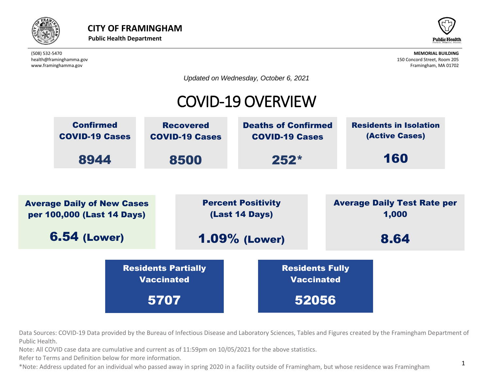



*Updated on Wednesday, October 6, 2021*

# COVID-19 OVERVIEW



Data Sources: COVID-19 Data provided by the Bureau of Infectious Disease and Laboratory Sciences, Tables and Figures created by the Framingham Department of Public Health.

lata are cumulative and current as of  $11:59$ pm on  $10/05/2021$  for the above statistics. Note: All COVID case data are cumulative and current as of 11:59pm on 10/05/2021 for the above statistics.<br>Refer to Terms and Definition below for more information  $\overline{\phantom{a}}$ d current as of 11

Refer to Terms and Definition below for more information.

\*Note: Address updated for an individual who passed away in spring 2020 in a facility outside of Framingham, but whose residence was Framingham  $\frac{1}{2}$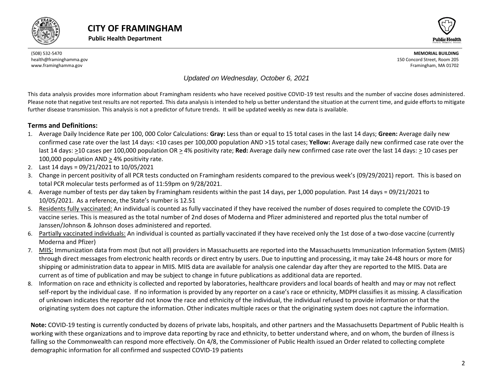



#### *Updated on Wednesday, October 6, 2021*

This data analysis provides more information about Framingham residents who have received positive COVID-19 test results and the number of vaccine doses administered. Please note that negative test results are not reported. This data analysis is intended to help us better understand the situation at the current time, and guide efforts to mitigate further disease transmission. This analysis is not a predictor of future trends. It will be updated weekly as new data is available.

#### **Terms and Definitions:**

- 1. Average Daily Incidence Rate per 100, 000 Color Calculations: **Gray:** Less than or equal to 15 total cases in the last 14 days; **Green:** Average daily new confirmed case rate over the last 14 days: <10 cases per 100,000 population AND >15 total cases; **Yellow:** Average daily new confirmed case rate over the last 14 days: >10 cases per 100,000 population OR > 4% positivity rate; **Red:** Average daily new confirmed case rate over the last 14 days: > 10 cases per 100,000 population AND > 4% positivity rate.
- 2. Last 14 days = 09/21/2021 to 10/05/2021
- 3. Change in percent positivity of all PCR tests conducted on Framingham residents compared to the previous week's (09/29/2021) report. This is based on total PCR molecular tests performed as of 11:59pm on 9/28/2021.
- 4. Average number of tests per day taken by Framingham residents within the past 14 days, per 1,000 population. Past 14 days = 09/21/2021 to 10/05/2021. As a reference, the State's number is 12.51
- 5. Residents fully vaccinated: An individual is counted as fully vaccinated if they have received the number of doses required to complete the COVID-19 vaccine series. This is measured as the total number of 2nd doses of Moderna and Pfizer administered and reported plus the total number of Janssen/Johnson & Johnson doses administered and reported.
- 6. Partially vaccinated individuals: An individual is counted as partially vaccinated if they have received only the 1st dose of a two-dose vaccine (currently Moderna and Pfizer)
- 7. MIIS: Immunization data from most (but not all) providers in Massachusetts are reported into the Massachusetts Immunization Information System (MIIS) through direct messages from electronic health records or direct entry by users. Due to inputting and processing, it may take 24-48 hours or more for shipping or administration data to appear in MIIS. MIIS data are available for analysis one calendar day after they are reported to the MIIS. Data are current as of time of publication and may be subject to change in future publications as additional data are reported.
- 8. Information on race and ethnicity is collected and reported by laboratories, healthcare providers and local boards of health and may or may not reflect self-report by the individual case. If no information is provided by any reporter on a case's race or ethnicity, MDPH classifies it as missing. A classification of unknown indicates the reporter did not know the race and ethnicity of the individual, the individual refused to provide information or that the originating system does not capture the information. Other indicates multiple races or that the originating system does not capture the information.

<span id="page-1-0"></span>**Note:** COVID-19 testing is currently conducted by dozens of private labs, hospitals, and other partners and the Massachusetts Department of Public Health is working with these organizations and to improve data reporting by race and ethnicity, to better understand where, and on whom, the burden of illness is falling so the Commonwealth can respond more effectively. On 4/8, the Commissioner of Public Health issued an Order related to collecting complete demographic information for all confirmed and suspected COVID-19 patients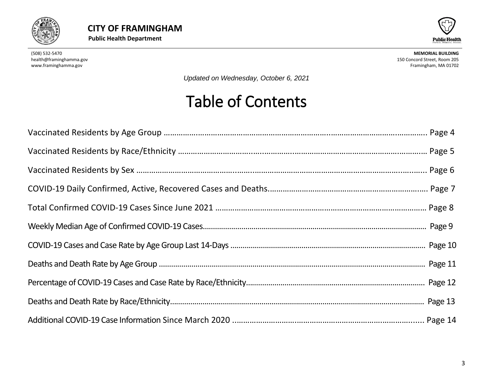



*Updated on Wednesday, October 6, 2021*

# Table of Contents

<span id="page-2-0"></span>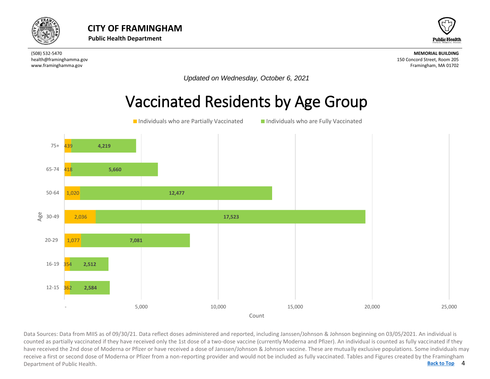



*Updated on Wednesday, October 6, 2021*

# Vaccinated Residents by Age Group



4 **[Back to Top](#page-1-0)** Data Sources: Data from MIIS as of 09/30/21. Data reflect doses administered and reported, including Janssen/Johnson & Johnson beginning on 03/05/2021. An individual is<br>counted as partially vaccinated if they have received counted as partially vaccinated if they have received only the 1st dose of a two-dose vaccine (currently Moderna and Pfizer). An individual is counted as fully vaccinated if they have received the 2nd dose of Moderna or Pfizer or have received a dose of Janssen/Johnson & Johnson vaccine. These are mutually exclusive populations. Some individuals may receive a first or second dose of Moderna or Pfizer from a non-reporting provider and would not be included as fully vaccinated. Tables and Figures created by the Framingham Department of Public Health.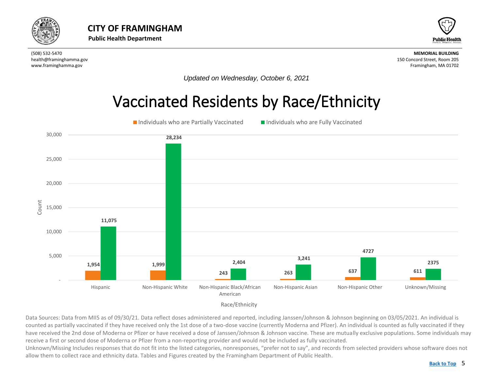<span id="page-4-0"></span>



*Updated on Wednesday, October 6, 2021*

# Vaccinated Residents by Race/Ethnicity



Data Sources: Data from MIIS as of 09/30/21. Data reflect doses administered and reported, including Janssen/Johnson & Johnson beginning on 03/05/2021. An individual is counted as partially vaccinated if they have received only the 1st dose of a two-dose vaccine (currently Moderna and Pfizer). An individual is counted as fully vaccinated if they have received the 2nd dose of Moderna or Pfizer or have received a dose of Janssen/Johnson & Johnson vaccine. These are mutually exclusive populations. Some individuals may receive a first or second dose of Moderna or Pfizer from a non-reporting provider and would not be included as fully vaccinated.

Unknown/Missing Includes responses that do not fit into the listed categories, nonresponses, "prefer not to say", and records from selected providers whose software does not allow them to collect race and ethnicity data. Tables and Figures created by the Framingham Department of Public Health.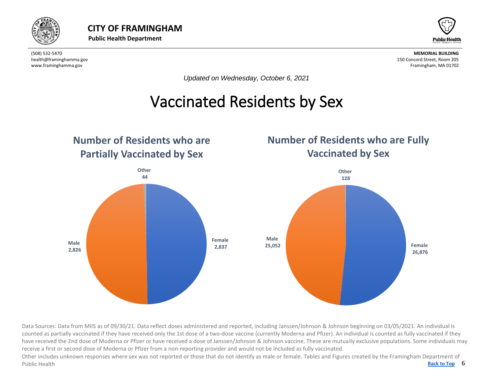

<span id="page-5-0"></span>



*Updated on Wednesday, October 6, 2021*

# Vaccinated Residents by Sex



Data Sources: Data from MIIS as of 09/30/21. Data reflect doses administered and reported, including Janssen/Johnson & Johnson beginning on 03/05/2021. An individual is counted as partially vaccinated if they have received only the 1st dose of a two-dose vaccine (currently Moderna and Pfizer). An individual is counted as fully vaccinated if they have received the 2nd dose of Moderna or Pfizer or have received a dose of Janssen/Johnson & Johnson vaccine. These are mutually exclusive populations. Some individuals may receive a first or second dose of Moderna or Pfizer from a non-reporting provider and would not be included as fully vaccinated.

Back to Top 6 Other includes unknown responses where sex was not reported or those that do not identify as male or female. Tables and Figures created by the Framingham Department of Public Health **[Back to Top](#page-1-0)**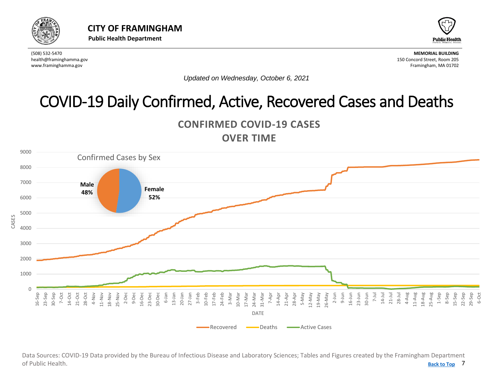<span id="page-6-0"></span>



*Updated on Wednesday, October 6, 2021*

# COVID-19 Daily Confirmed, Active, Recovered Cases and Deaths

**CONFIRMED COVID-19 CASES OVER TIME**



7 **[Back to Top](#page-1-0)** Data Sources: COVID-19 Data provided by the Bureau of Infectious Disease and Laboratory Sciences; Tables and Figures created by the Framingham Department of Public Health.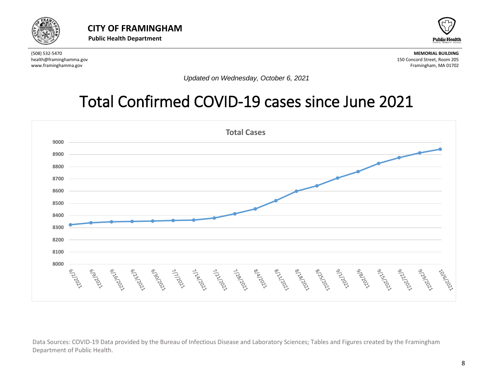



*Updated on Wednesday, October 6, 2021*

# Total Confirmed COVID-19 cases since June 2021



Data Sources: COVID-19 Data provided by the Bureau of Infectious Disease and Laboratory Sciences; Tables and Figures created by the Framingham Department of Public Health.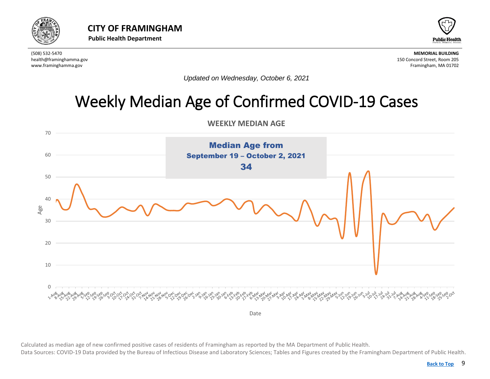



*Updated on Wednesday, October 6, 2021*

# Weekly Median Age of Confirmed COVID-19 Cases

**WEEKLY MEDIAN AGE** 

<span id="page-8-0"></span>

Calculated as median age of new confirmed positive cases of residents of Framingham as reported by the MA Department of Public Health. Data Sources: COVID-19 Data provided by the Bureau of Infectious Disease and Laboratory Sciences; Tables and Figures created by the Framingham Department of Public Health.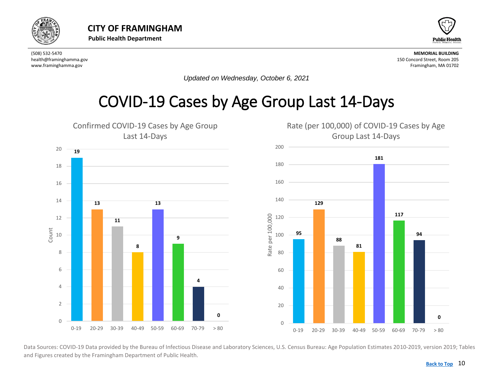<span id="page-9-0"></span>



*Updated on Wednesday, October 6, 2021*

# COVID-19 Cases by Age Group Last 14-Days



Data Sources: COVID-19 Data provided by the Bureau of Infectious Disease and Laboratory Sciences, U.S. Census Bureau: Age Population Estimates 2010-2019, version 2019; Tables and Figures created by the Framingham Department of Public Health.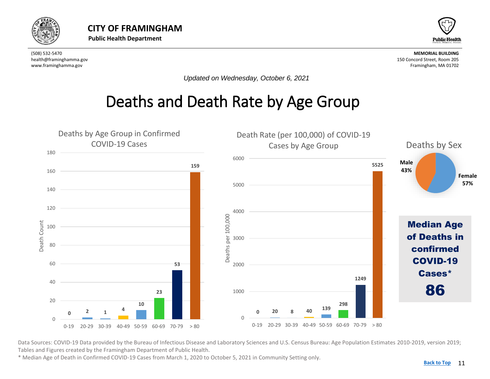<span id="page-10-0"></span>



*Updated on Wednesday, October 6, 2021*

## Deaths and Death Rate by Age Group



Data Sources: COVID-19 Data provided by the Bureau of Infectious Disease and Laboratory Sciences and U.S. Census Bureau: Age Population Estimates 2010-2019, version 2019; Tables and Figures created by the Framingham Department of Public Health.

\* Median Age of Death in Confirmed COVID-19 Cases from March 1, 2020 to October 5, 2021 in Community Setting only.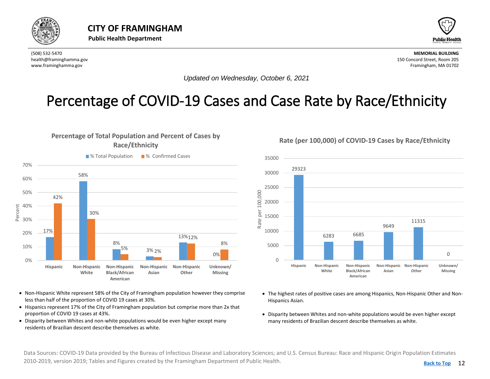<span id="page-11-0"></span>



*Updated on Wednesday, October 6, 2021*

### Percentage of COVID-19 Cases and Case Rate by Race/Ethnicity

### **Percentage of Total Population and Percent of Cases by Race/Ethnicity**



- Non-Hispanic White represent 58% of the City of Framingham population however they comprise less than half of the proportion of COVID 19 cases at 30%.
- Hispanics represent 17% of the City of Framingham population but comprise more than 2x that proportion of COVID 19 cases at 43%.
- Disparity between Whites and non-white populations would be even higher except many residents of Brazilian descent describe themselves as white.

35000 29323 30000 25000 per 100,000 Rate per 100,000 20000 15000 Rate 11315 9649 10000 6283 6685 5000 0  $\Omega$ **Hispanic Non-Hispanic Non-Hispanic Non-Hispanic Non-Hispanic Unknown/ White Black/African Asian Other Missing American**

- The highest rates of positive cases are among Hispanics, Non-Hispanic Other and Non-Hispanics Asian.
- Disparity between Whites and non-white populations would be even higher except many residents of Brazilian descent describe themselves as white.

Data Sources: COVID-19 Data provided by the Bureau of Infectious Disease and Laboratory Sciences; and U.S. Census Bureau: Race and Hispanic Origin Population Estimates 2010-2019, version 2019; Tables and Figures created by the Framingham Department of Public Health.

#### **Rate (per 100,000) of COVID-19 Cases by Race/Ethnicity**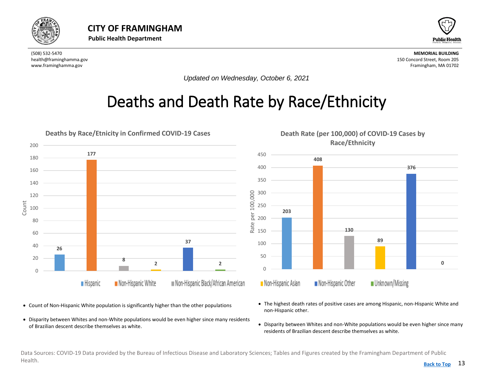<span id="page-12-0"></span>



*Updated on Wednesday, October 6, 2021*

# Deaths and Death Rate by Race/Ethnicity



- Count of Non-Hispanic White population is significantly higher than the other populations
- Disparity between Whites and non-White populations would be even higher since many residents of Brazilian descent describe themselves as white.
- The highest death rates of positive cases are among Hispanic, non-Hispanic White and non-Hispanic other.
- Disparity between Whites and non-White populations would be even higher since many residents of Brazilian descent describe themselves as white.

Data Sources: COVID-19 Data provided by the Bureau of Infectious Disease and Laboratory Sciences; Tables and Figures created by the Framingham Department of Public Health. **[Back to Top](#page-1-0)**